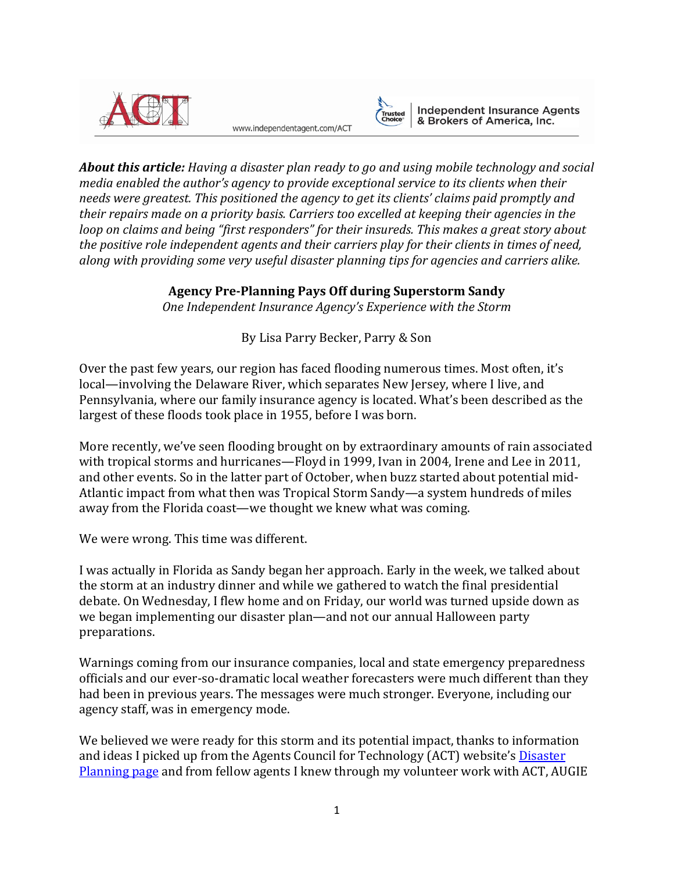

www.independentagent.com/ACT



**Independent Insurance Agents** & Brokers of America, Inc.

*About this article: Having a disaster plan ready to go and using mobile technology and social media enabled the author's agency to provide exceptional service to its clients when their needs were greatest. This positioned the agency to get its clients' claims paid promptly and their repairs made on a priority basis. Carriers too excelled at keeping their agencies in the loop on claims and being "first responders" for their insureds. This makes a great story about the positive role independent agents and their carriers play for their clients in times of need, along with providing some very useful disaster planning tips for agencies and carriers alike.*

## **Agency Pre-Planning Pays Off during Superstorm Sandy**

*One Independent Insurance Agency's Experience with the Storm*

# By Lisa Parry Becker, Parry & Son

Over the past few years, our region has faced flooding numerous times. Most often, it's local—involving the Delaware River, which separates New Jersey, where I live, and Pennsylvania, where our family insurance agency is located. What's been described as the largest of these floods took place in 1955, before I was born.

More recently, we've seen flooding brought on by extraordinary amounts of rain associated with tropical storms and hurricanes—Floyd in 1999, Ivan in 2004, Irene and Lee in 2011, and other events. So in the latter part of October, when buzz started about potential mid-Atlantic impact from what then was Tropical Storm Sandy—a system hundreds of miles away from the Florida coast—we thought we knew what was coming.

We were wrong. This time was different.

I was actually in Florida as Sandy began her approach. Early in the week, we talked about the storm at an industry dinner and while we gathered to watch the final presidential debate. On Wednesday, I flew home and on Friday, our world was turned upside down as we began implementing our disaster plan—and not our annual Halloween party preparations.

Warnings coming from our insurance companies, local and state emergency preparedness officials and our ever-so-dramatic local weather forecasters were much different than they had been in previous years. The messages were much stronger. Everyone, including our agency staff, was in emergency mode.

We believed we were ready for this storm and its potential impact, thanks to information and ideas I picked up from the Agents Council for Technology (ACT) website's **Disaster** [Planning page](http://www.independentagent.com/Resources/AgencyManagement/ACT/Pages/planning/DisasterPlanning/default.aspx) and from fellow agents I knew through my volunteer work with ACT, AUGIE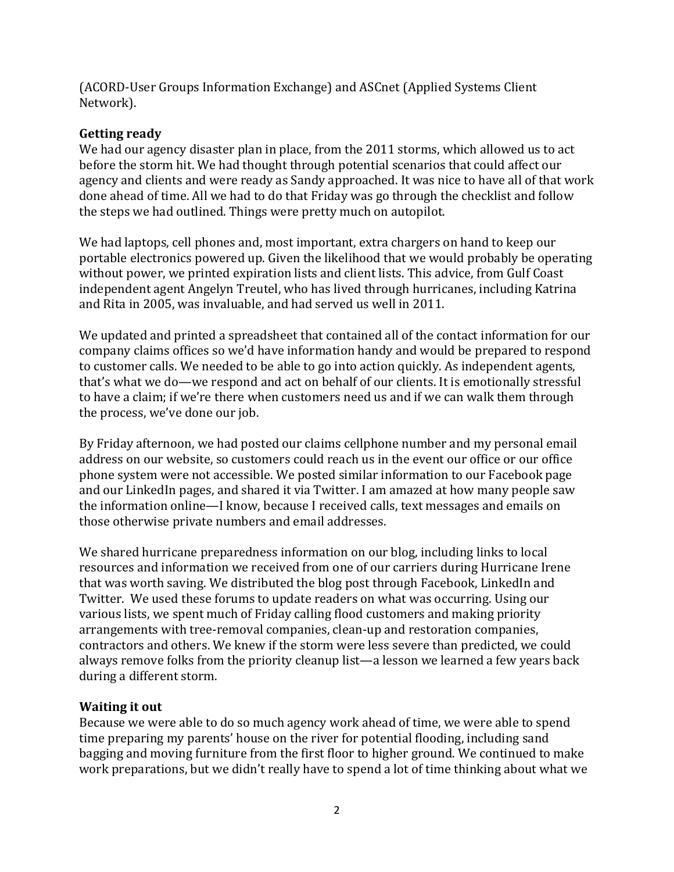(ACORD-User Groups Information Exchange) and ASCnet (Applied Systems Client Network).

## **Getting ready**

We had our agency disaster plan in place, from the 2011 storms, which allowed us to act before the storm hit. We had thought through potential scenarios that could affect our agency and clients and were ready as Sandy approached. It was nice to have all of that work done ahead of time. All we had to do that Friday was go through the checklist and follow the steps we had outlined. Things were pretty much on autopilot.

We had laptops, cell phones and, most important, extra chargers on hand to keep our portable electronics powered up. Given the likelihood that we would probably be operating without power, we printed expiration lists and client lists. This advice, from Gulf Coast independent agent Angelyn Treutel, who has lived through hurricanes, including Katrina and Rita in 2005, was invaluable, and had served us well in 2011.

We updated and printed a spreadsheet that contained all of the contact information for our company claims offices so we'd have information handy and would be prepared to respond to customer calls. We needed to be able to go into action quickly. As independent agents, that's what we do—we respond and act on behalf of our clients. It is emotionally stressful to have a claim; if we're there when customers need us and if we can walk them through the process, we've done our job.

By Friday afternoon, we had posted our claims cellphone number and my personal email address on our website, so customers could reach us in the event our office or our office phone system were not accessible. We posted similar information to our Facebook page and our LinkedIn pages, and shared it via Twitter. I am amazed at how many people saw the information online—I know, because I received calls, text messages and emails on those otherwise private numbers and email addresses.

We shared hurricane preparedness information on our blog, including links to local resources and information we received from one of our carriers during Hurricane Irene that was worth saving. We distributed the blog post through Facebook, LinkedIn and Twitter. We used these forums to update readers on what was occurring. Using our various lists, we spent much of Friday calling flood customers and making priority arrangements with tree-removal companies, clean-up and restoration companies, contractors and others. We knew if the storm were less severe than predicted, we could always remove folks from the priority cleanup list—a lesson we learned a few years back during a different storm.

## **Waiting it out**

Because we were able to do so much agency work ahead of time, we were able to spend time preparing my parents' house on the river for potential flooding, including sand bagging and moving furniture from the first floor to higher ground. We continued to make work preparations, but we didn't really have to spend a lot of time thinking about what we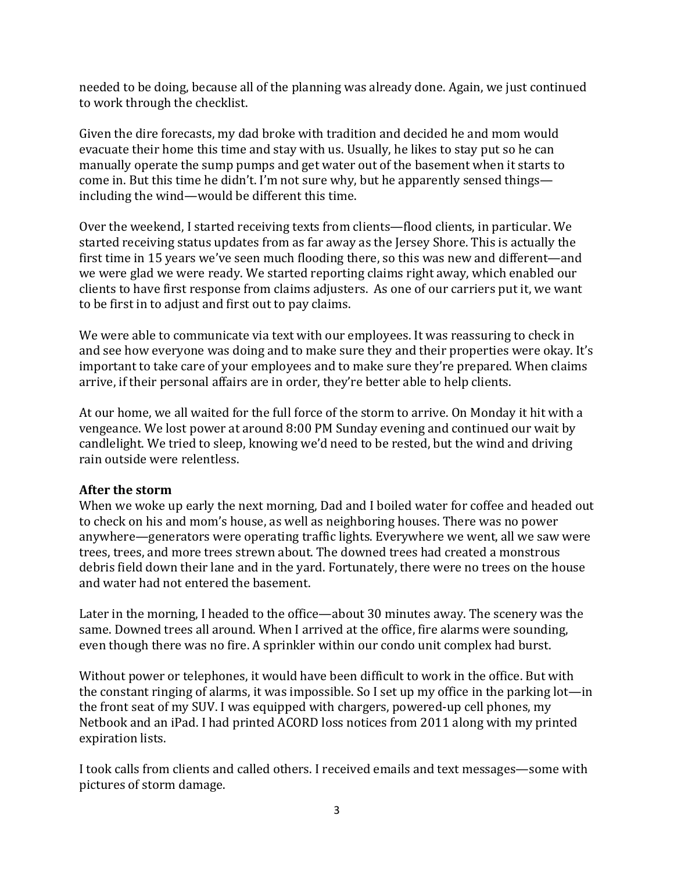needed to be doing, because all of the planning was already done. Again, we just continued to work through the checklist.

Given the dire forecasts, my dad broke with tradition and decided he and mom would evacuate their home this time and stay with us. Usually, he likes to stay put so he can manually operate the sump pumps and get water out of the basement when it starts to come in. But this time he didn't. I'm not sure why, but he apparently sensed things including the wind—would be different this time.

Over the weekend, I started receiving texts from clients—flood clients, in particular. We started receiving status updates from as far away as the Jersey Shore. This is actually the first time in 15 years we've seen much flooding there, so this was new and different—and we were glad we were ready. We started reporting claims right away, which enabled our clients to have first response from claims adjusters. As one of our carriers put it, we want to be first in to adjust and first out to pay claims.

We were able to communicate via text with our employees. It was reassuring to check in and see how everyone was doing and to make sure they and their properties were okay. It's important to take care of your employees and to make sure they're prepared. When claims arrive, if their personal affairs are in order, they're better able to help clients.

At our home, we all waited for the full force of the storm to arrive. On Monday it hit with a vengeance. We lost power at around 8:00 PM Sunday evening and continued our wait by candlelight. We tried to sleep, knowing we'd need to be rested, but the wind and driving rain outside were relentless.

## **After the storm**

When we woke up early the next morning, Dad and I boiled water for coffee and headed out to check on his and mom's house, as well as neighboring houses. There was no power anywhere—generators were operating traffic lights. Everywhere we went, all we saw were trees, trees, and more trees strewn about. The downed trees had created a monstrous debris field down their lane and in the yard. Fortunately, there were no trees on the house and water had not entered the basement.

Later in the morning, I headed to the office—about 30 minutes away. The scenery was the same. Downed trees all around. When I arrived at the office, fire alarms were sounding, even though there was no fire. A sprinkler within our condo unit complex had burst.

Without power or telephones, it would have been difficult to work in the office. But with the constant ringing of alarms, it was impossible. So I set up my office in the parking lot—in the front seat of my SUV. I was equipped with chargers, powered-up cell phones, my Netbook and an iPad. I had printed ACORD loss notices from 2011 along with my printed expiration lists.

I took calls from clients and called others. I received emails and text messages—some with pictures of storm damage.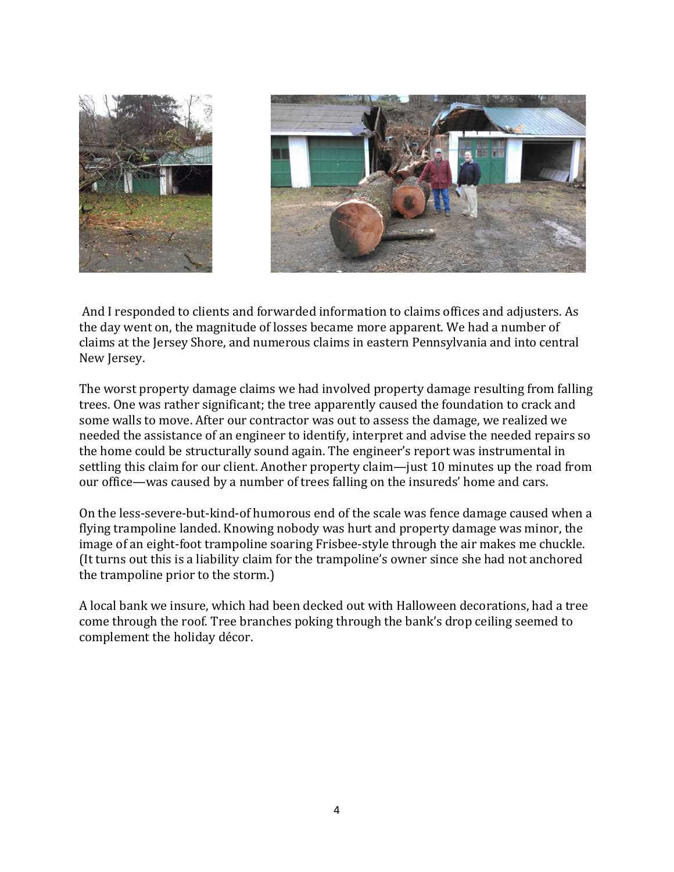

And I responded to clients and forwarded information to claims offices and adjusters. As the day went on, the magnitude of losses became more apparent. We had a number of claims at the Jersey Shore, and numerous claims in eastern Pennsylvania and into central New Jersey.

The worst property damage claims we had involved property damage resulting from falling trees. One was rather significant; the tree apparently caused the foundation to crack and some walls to move. After our contractor was out to assess the damage, we realized we needed the assistance of an engineer to identify, interpret and advise the needed repairs so the home could be structurally sound again. The engineer's report was instrumental in settling this claim for our client. Another property claim—just 10 minutes up the road from our office—was caused by a number of trees falling on the insureds' home and cars.

On the less-severe-but-kind-of humorous end of the scale was fence damage caused when a flying trampoline landed. Knowing nobody was hurt and property damage was minor, the image of an eight-foot trampoline soaring Frisbee-style through the air makes me chuckle. (It turns out this is a liability claim for the trampoline's owner since she had not anchored the trampoline prior to the storm.)

A local bank we insure, which had been decked out with Halloween decorations, had a tree come through the roof. Tree branches poking through the bank's drop ceiling seemed to complement the holiday décor.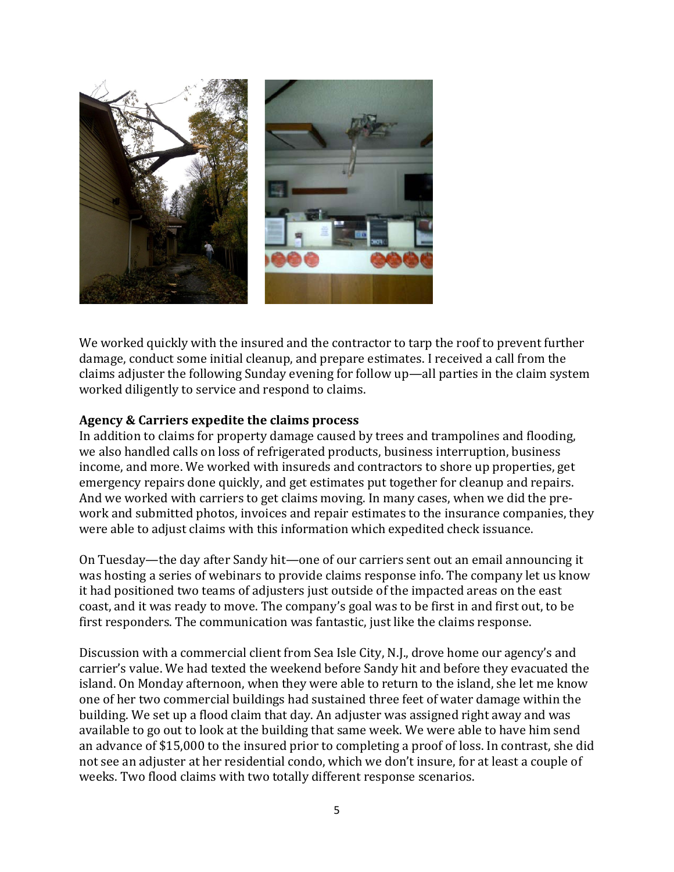

We worked quickly with the insured and the contractor to tarp the roof to prevent further damage, conduct some initial cleanup, and prepare estimates. I received a call from the claims adjuster the following Sunday evening for follow up—all parties in the claim system worked diligently to service and respond to claims.

#### **Agency & Carriers expedite the claims process**

In addition to claims for property damage caused by trees and trampolines and flooding, we also handled calls on loss of refrigerated products, business interruption, business income, and more. We worked with insureds and contractors to shore up properties, get emergency repairs done quickly, and get estimates put together for cleanup and repairs. And we worked with carriers to get claims moving. In many cases, when we did the prework and submitted photos, invoices and repair estimates to the insurance companies, they were able to adjust claims with this information which expedited check issuance.

On Tuesday—the day after Sandy hit—one of our carriers sent out an email announcing it was hosting a series of webinars to provide claims response info. The company let us know it had positioned two teams of adjusters just outside of the impacted areas on the east coast, and it was ready to move. The company's goal was to be first in and first out, to be first responders. The communication was fantastic, just like the claims response.

Discussion with a commercial client from Sea Isle City, N.J., drove home our agency's and carrier's value. We had texted the weekend before Sandy hit and before they evacuated the island. On Monday afternoon, when they were able to return to the island, she let me know one of her two commercial buildings had sustained three feet of water damage within the building. We set up a flood claim that day. An adjuster was assigned right away and was available to go out to look at the building that same week. We were able to have him send an advance of \$15,000 to the insured prior to completing a proof of loss. In contrast, she did not see an adjuster at her residential condo, which we don't insure, for at least a couple of weeks. Two flood claims with two totally different response scenarios.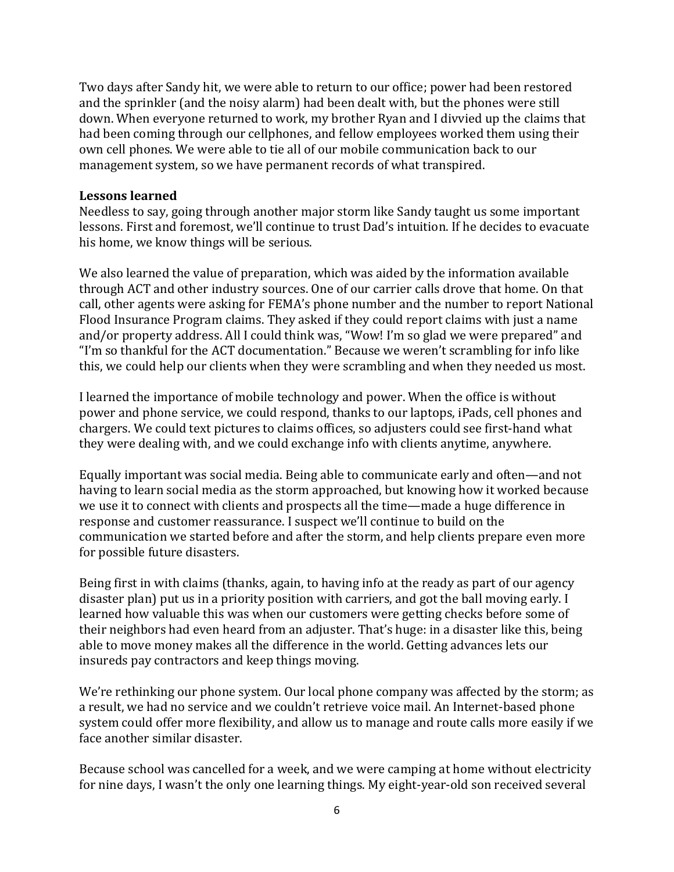Two days after Sandy hit, we were able to return to our office; power had been restored and the sprinkler (and the noisy alarm) had been dealt with, but the phones were still down. When everyone returned to work, my brother Ryan and I divvied up the claims that had been coming through our cellphones, and fellow employees worked them using their own cell phones. We were able to tie all of our mobile communication back to our management system, so we have permanent records of what transpired.

#### **Lessons learned**

Needless to say, going through another major storm like Sandy taught us some important lessons. First and foremost, we'll continue to trust Dad's intuition. If he decides to evacuate his home, we know things will be serious.

We also learned the value of preparation, which was aided by the information available through ACT and other industry sources. One of our carrier calls drove that home. On that call, other agents were asking for FEMA's phone number and the number to report National Flood Insurance Program claims. They asked if they could report claims with just a name and/or property address. All I could think was, "Wow! I'm so glad we were prepared" and "I'm so thankful for the ACT documentation." Because we weren't scrambling for info like this, we could help our clients when they were scrambling and when they needed us most.

I learned the importance of mobile technology and power. When the office is without power and phone service, we could respond, thanks to our laptops, iPads, cell phones and chargers. We could text pictures to claims offices, so adjusters could see first-hand what they were dealing with, and we could exchange info with clients anytime, anywhere.

Equally important was social media. Being able to communicate early and often—and not having to learn social media as the storm approached, but knowing how it worked because we use it to connect with clients and prospects all the time—made a huge difference in response and customer reassurance. I suspect we'll continue to build on the communication we started before and after the storm, and help clients prepare even more for possible future disasters.

Being first in with claims (thanks, again, to having info at the ready as part of our agency disaster plan) put us in a priority position with carriers, and got the ball moving early. I learned how valuable this was when our customers were getting checks before some of their neighbors had even heard from an adjuster. That's huge: in a disaster like this, being able to move money makes all the difference in the world. Getting advances lets our insureds pay contractors and keep things moving.

We're rethinking our phone system. Our local phone company was affected by the storm; as a result, we had no service and we couldn't retrieve voice mail. An Internet-based phone system could offer more flexibility, and allow us to manage and route calls more easily if we face another similar disaster.

Because school was cancelled for a week, and we were camping at home without electricity for nine days, I wasn't the only one learning things. My eight-year-old son received several